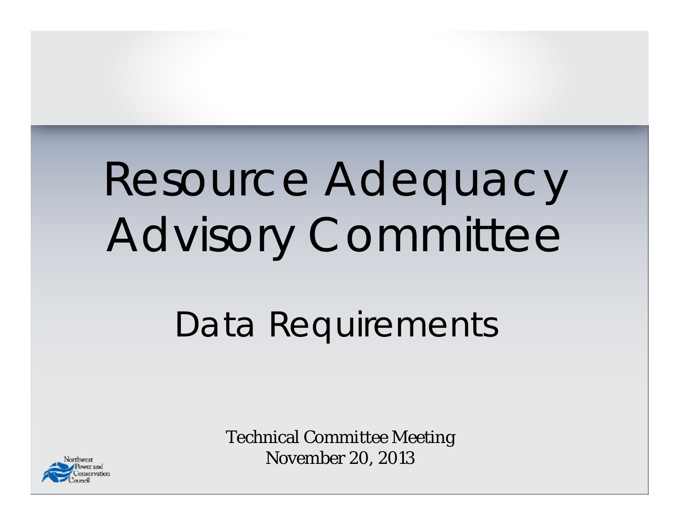# Resource Adequacy Advisory Committee

#### Data Requirements

Technical Committee Meeting November 20, 2013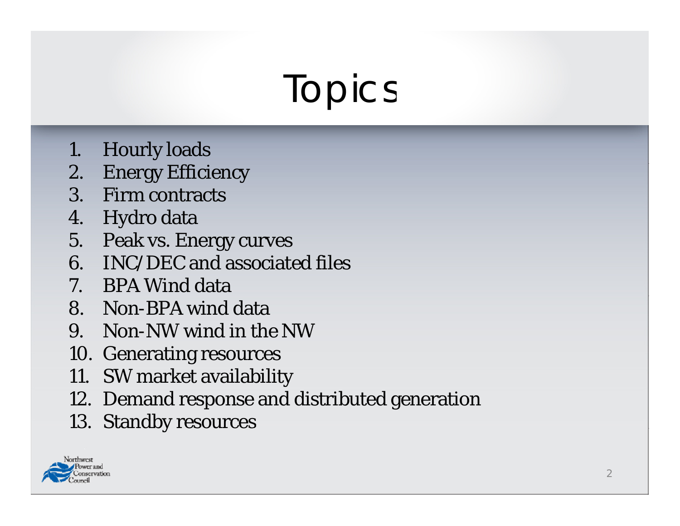### Topics

- 1. Hourly loads
- 2. Energy Efficiency
- 3. Firm contracts
- 4. Hydro data
- 5. Peak vs. Energy curves
- 6. INC/DEC and associated files
- 7. BPA Wind data
- 8. Non-BPA wind data
- 9. Non-NW wind in the NW
- 10. Generating resources
- 11. SW market availability
- 12. Demand response and distributed generation
- 13. Standby resources

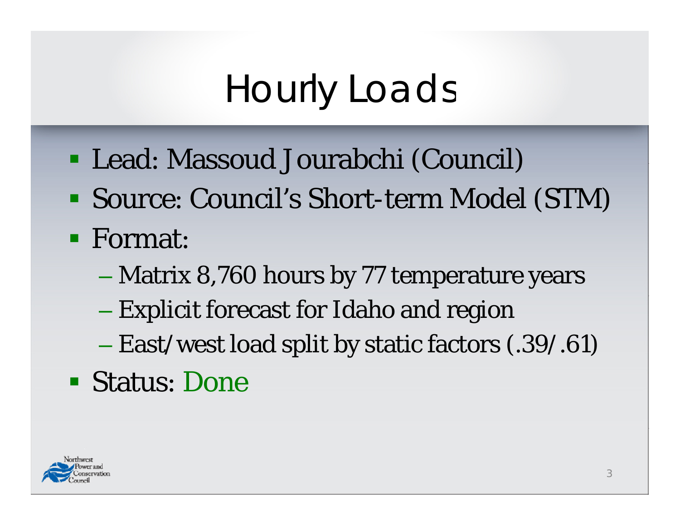# Hourly Loads

- Lead: Massoud Jourabchi (Council)
- Source: Council's Short-term Model (STM)
- **Format:** 
	- Matrix 8,760 hours by 77 temperature years
	- Explicit forecast for Idaho and region
	- East/west load split by static factors (.39/.61)
- Status: Done

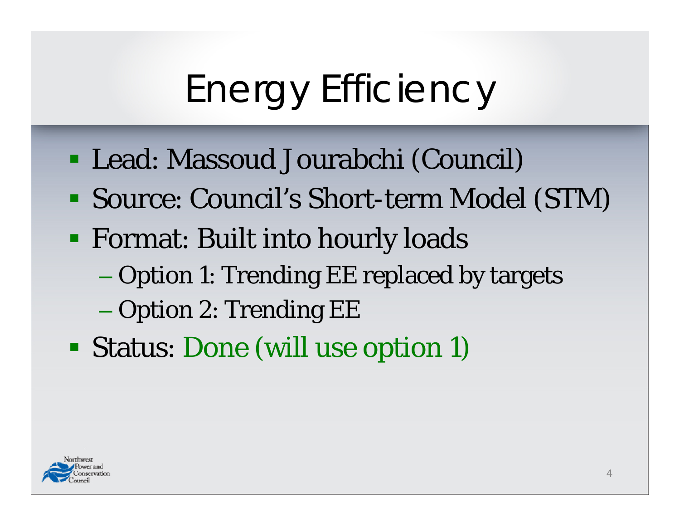# Energy Efficiency

- Lead: Massoud Jourabchi (Council)
- Source: Council's Short-term Model (STM)
- **Example 18 I** Format: Built into hourly loads
	- Option 1: Trending EE replaced by targets
	- $-$  Option 2: Trending EE  $\,$
- Status: Done (will use o ption 1)

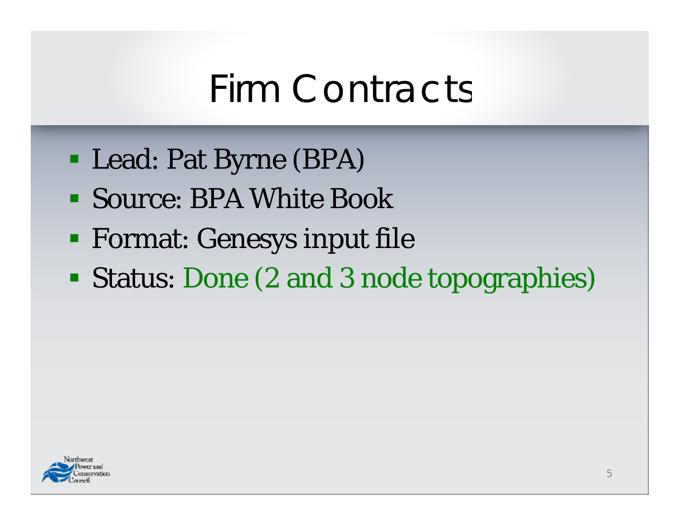#### Firm Contracts

- Lead: Pat Byrne (BPA)
- Source: BPA White Book
- **Example 1 Format: Genesys input file**
- Status: Done (2 and 3 node topographies)

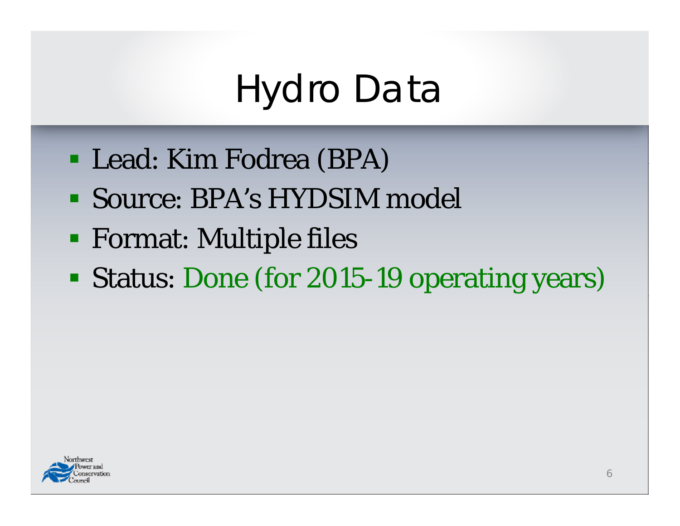### Hydro Data

- Lead: Kim Fodrea (BPA)
- Source: BPA's HYDSIM model
- **Format: Multiple files**
- Status: Done (for 2015-19 operating years)

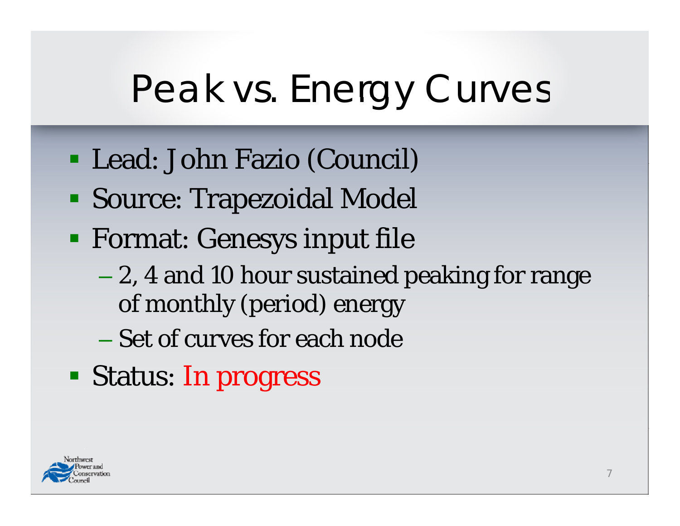# Peak vs. Energy Curves

- Lead: John Fazio (Council)
- Source: Trapezoidal Model
- **Example 1 Format: Genesys input file** 
	- 2, 4 and 10 hour sustained peaking for range of monthly (period) energy
	- Set of curves for each node
- Status: In progress

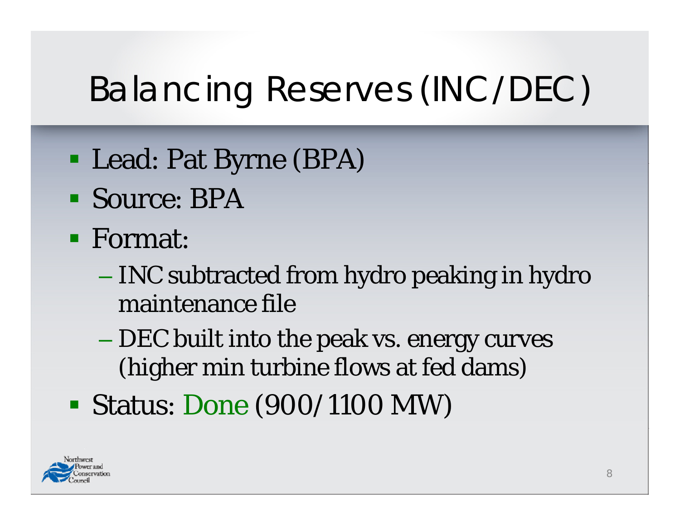#### Balancing Reserves (INC/DEC)

- Lead: Pat Byrne (BPA)
- Source: BPA
- **Format:** 
	- INC subtracted from hydro peaking in hydro maintenance file
	- DEC built into the peak vs. energy curves (higher min turbine flows at fed dams)
- Status: Done (900/1100 MW)

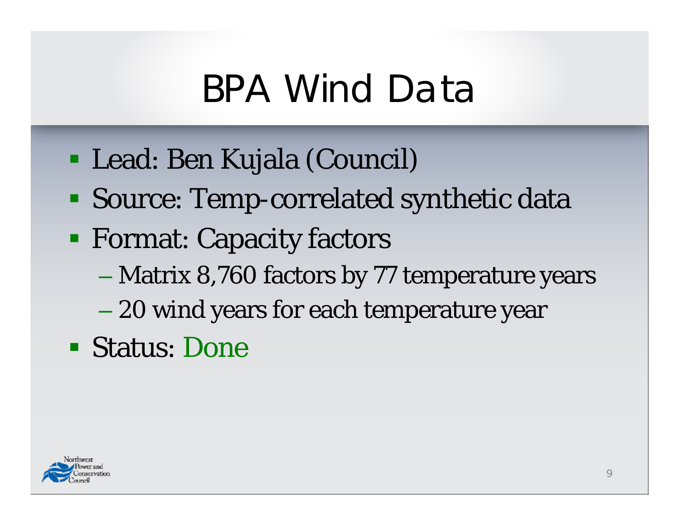#### BPA Wind Data

- Lead: Ben Kujala (Council)
- Source: Temp-correlated synthetic data
- **Format: Capacity factors** 
	- Matrix 8,760 factors by 77 temperature years
	- 20 wind years for each temperature year
- Status: Done

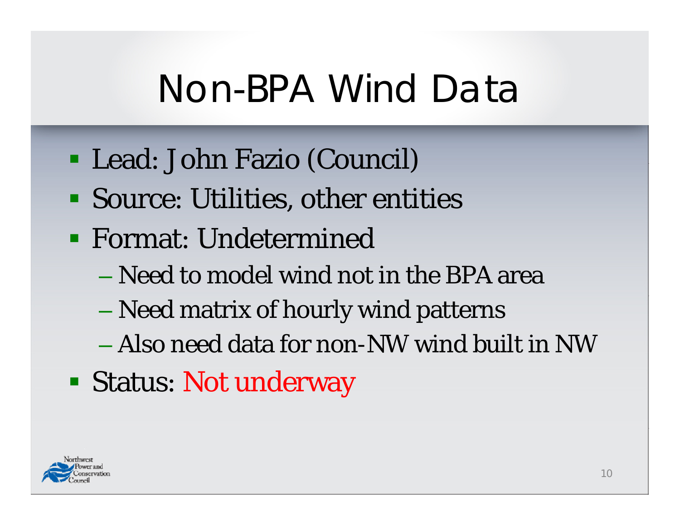#### Non-BPA Wind Data

- Lead: John Fazio (Council)
- Source: Utilities, other entities
- **Format: Undetermined** 
	- Need to model wind not in the BPA area
	- Need matrix of hourly wind patterns
	- Also need data for non-NW wind built in NW
- Status: Not underway

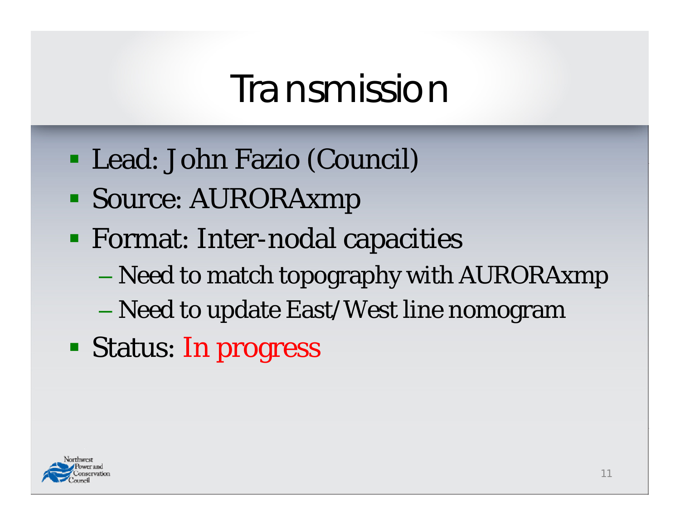#### Transmission

- Lead: John Fazio (Council)
- Source: AURORAxmp
- Format: Inter-nodal capacities
	- Need to match topography with AURORAxmp
	- Need to update East/West line nomogram
- Status: In progress

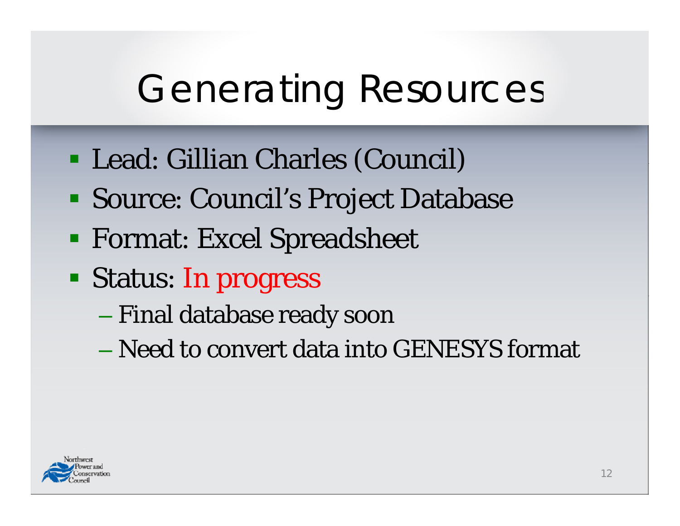# Generating Resources

- Lead: Gillian Charles (Council)
- Source: Council's Project Database
- **Format: Excel Spreadsheet**
- Status: In progress
	- Final database ready soon
	- Need to convert data into GENESYS format

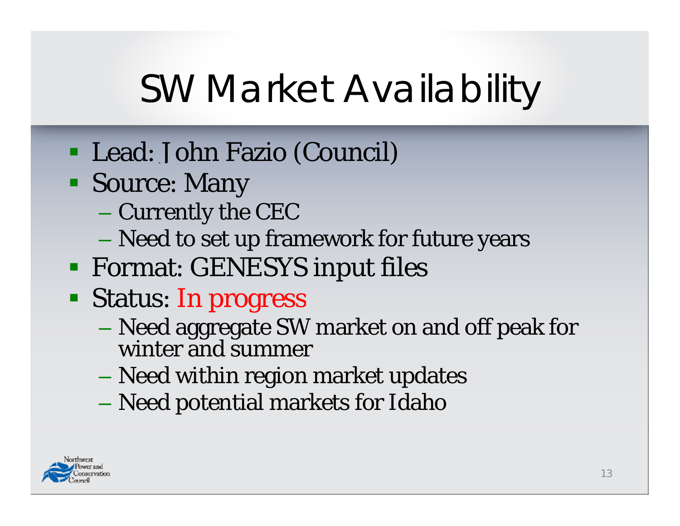# SW Market Availability

- Lead: John Fazio (Council)
- Source: Many
	- Currently the CEC
	- Need to set up framework for future years
- Format: GENESYS input files
- Status: In progress
	- Need aggregate SW market on and off peak for winter and summer
	- Need within region market updates
	- Need potential markets for Idaho

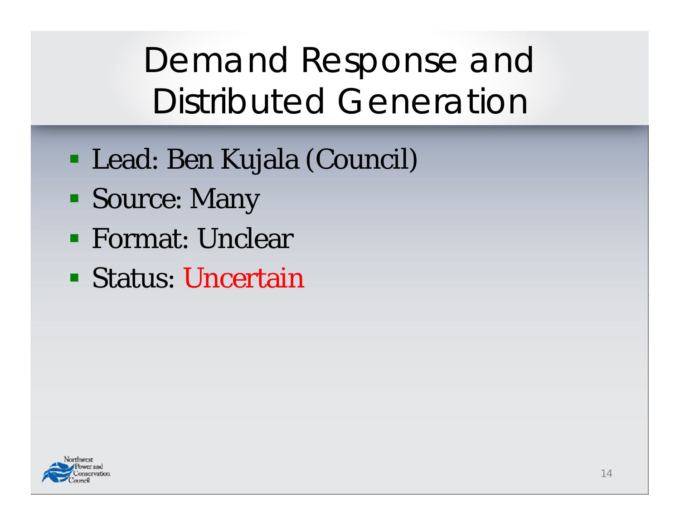Demand Response and Distributed Generation

- Lead: Ben Kujala (Council)
- Source: Many
- **Example 1 Format: Unclear**
- Status: Uncertain